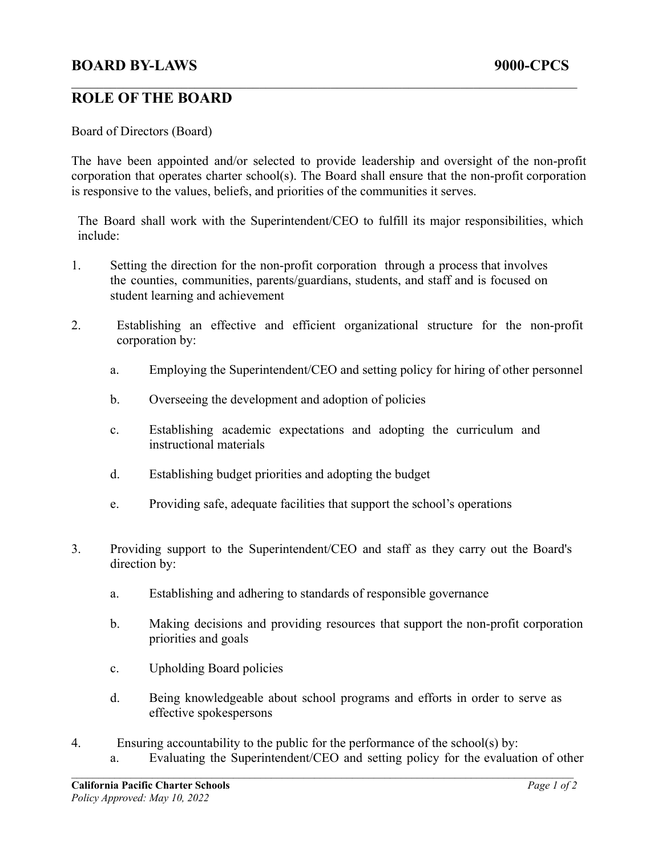## **BOARD BY-LAWS 9000-CPCS**

## **ROLE OF THE BOARD**

Board of Directors (Board)

The have been appointed and/or selected to provide leadership and oversight of the non-profit corporation that operates charter school(s). The Board shall ensure that the non-profit corporation is responsive to the values, beliefs, and priorities of the communities it serves.

 $\mathcal{L}_\mathcal{L} = \{ \mathcal{L}_\mathcal{L} = \{ \mathcal{L}_\mathcal{L} = \{ \mathcal{L}_\mathcal{L} = \{ \mathcal{L}_\mathcal{L} = \{ \mathcal{L}_\mathcal{L} = \{ \mathcal{L}_\mathcal{L} = \{ \mathcal{L}_\mathcal{L} = \{ \mathcal{L}_\mathcal{L} = \{ \mathcal{L}_\mathcal{L} = \{ \mathcal{L}_\mathcal{L} = \{ \mathcal{L}_\mathcal{L} = \{ \mathcal{L}_\mathcal{L} = \{ \mathcal{L}_\mathcal{L} = \{ \mathcal{L}_\mathcal{$ 

The Board shall work with the Superintendent/CEO to fulfill its major responsibilities, which include:

- 1. Setting the direction for the non-profit corporation through a process that involves the counties, communities, parents/guardians, students, and staff and is focused on student learning and achievement
- 2. Establishing an effective and efficient organizational structure for the non-profit corporation by:
	- a. Employing the Superintendent/CEO and setting policy for hiring of other personnel
	- b. Overseeing the development and adoption of policies
	- c. Establishing academic expectations and adopting the curriculum and instructional materials
	- d. Establishing budget priorities and adopting the budget
	- e. Providing safe, adequate facilities that support the school's operations
- 3. Providing support to the Superintendent/CEO and staff as they carry out the Board's direction by:
	- a. Establishing and adhering to standards of responsible governance
	- b. Making decisions and providing resources that support the non-profit corporation priorities and goals
	- c. Upholding Board policies
	- d. Being knowledgeable about school programs and efforts in order to serve as effective spokespersons
- 4. Ensuring accountability to the public for the performance of the school(s) by: a. Evaluating the Superintendent/CEO and setting policy for the evaluation of other  $\mathcal{L}_\mathcal{L} = \{ \mathcal{L}_\mathcal{L} = \{ \mathcal{L}_\mathcal{L} = \{ \mathcal{L}_\mathcal{L} = \{ \mathcal{L}_\mathcal{L} = \{ \mathcal{L}_\mathcal{L} = \{ \mathcal{L}_\mathcal{L} = \{ \mathcal{L}_\mathcal{L} = \{ \mathcal{L}_\mathcal{L} = \{ \mathcal{L}_\mathcal{L} = \{ \mathcal{L}_\mathcal{L} = \{ \mathcal{L}_\mathcal{L} = \{ \mathcal{L}_\mathcal{L} = \{ \mathcal{L}_\mathcal{L} = \{ \mathcal{L}_\mathcal{$